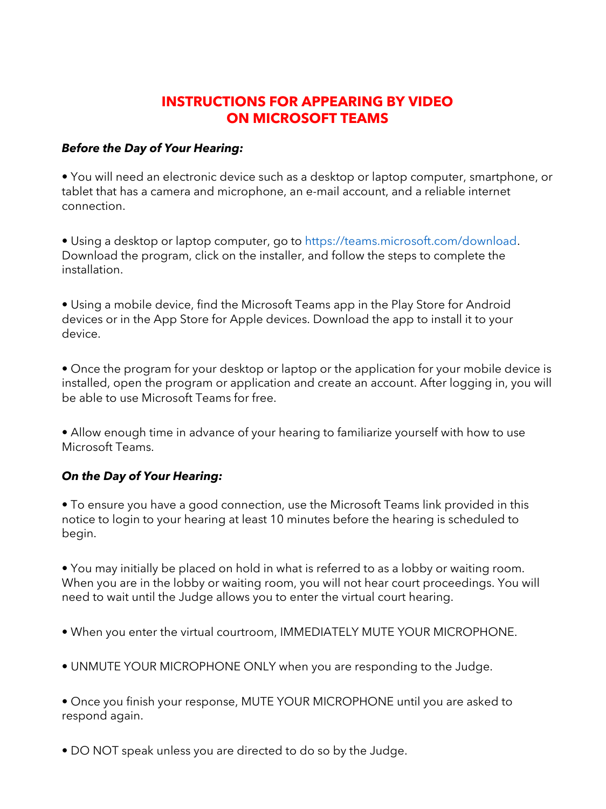## **INSTRUCTIONS FOR APPEARING BY VIDEO ON MICROSOFT TEAMS**

#### *Before the Day of Your Hearing:*

• You will need an electronic device such as a desktop or laptop computer, smartphone, or tablet that has a camera and microphone, an e-mail account, and a reliable internet connection.

• Using a desktop or laptop computer, go to https://teams.microsoft.com/download. Download the program, click on the installer, and follow the steps to complete the installation.

• Using a mobile device, find the Microsoft Teams app in the Play Store for Android devices or in the App Store for Apple devices. Download the app to install it to your device.

• Once the program for your desktop or laptop or the application for your mobile device is installed, open the program or application and create an account. After logging in, you will be able to use Microsoft Teams for free.

• Allow enough time in advance of your hearing to familiarize yourself with how to use Microsoft Teams.

### *On the Day of Your Hearing:*

• To ensure you have a good connection, use the Microsoft Teams link provided in this notice to login to your hearing at least 10 minutes before the hearing is scheduled to begin.

• You may initially be placed on hold in what is referred to as a lobby or waiting room. When you are in the lobby or waiting room, you will not hear court proceedings. You will need to wait until the Judge allows you to enter the virtual court hearing.

- When you enter the virtual courtroom, IMMEDIATELY MUTE YOUR MICROPHONE.
- UNMUTE YOUR MICROPHONE ONLY when you are responding to the Judge.
- Once you finish your response, MUTE YOUR MICROPHONE until you are asked to respond again.
- DO NOT speak unless you are directed to do so by the Judge.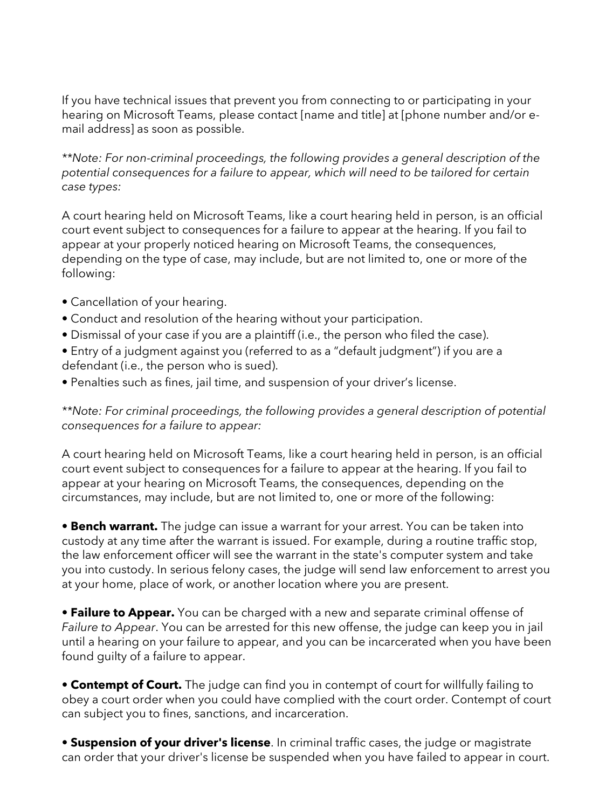If you have technical issues that prevent you from connecting to or participating in your hearing on Microsoft Teams, please contact [name and title] at [phone number and/or email address] as soon as possible.

*\*\*Note: For non-criminal proceedings, the following provides a general description of the potential consequences for a failure to appear, which will need to be tailored for certain case types:* 

A court hearing held on Microsoft Teams, like a court hearing held in person, is an official court event subject to consequences for a failure to appear at the hearing. If you fail to appear at your properly noticed hearing on Microsoft Teams, the consequences, depending on the type of case, may include, but are not limited to, one or more of the following:

- Cancellation of your hearing.
- Conduct and resolution of the hearing without your participation.
- Dismissal of your case if you are a plaintiff (i.e., the person who filed the case).
- Entry of a judgment against you (referred to as a "default judgment") if you are a defendant (i.e., the person who is sued).
- Penalties such as fines, jail time, and suspension of your driver's license.

*\*\*Note: For criminal proceedings, the following provides a general description of potential consequences for a failure to appear:* 

A court hearing held on Microsoft Teams, like a court hearing held in person, is an official court event subject to consequences for a failure to appear at the hearing. If you fail to appear at your hearing on Microsoft Teams, the consequences, depending on the circumstances, may include, but are not limited to, one or more of the following:

**• Bench warrant.** The judge can issue a warrant for your arrest. You can be taken into custody at any time after the warrant is issued. For example, during a routine traffic stop, the law enforcement officer will see the warrant in the state's computer system and take you into custody. In serious felony cases, the judge will send law enforcement to arrest you at your home, place of work, or another location where you are present.

• **Failure to Appear.** You can be charged with a new and separate criminal offense of *Failure to Appear*. You can be arrested for this new offense, the judge can keep you in jail until a hearing on your failure to appear, and you can be incarcerated when you have been found guilty of a failure to appear.

• **Contempt of Court.** The judge can find you in contempt of court for willfully failing to obey a court order when you could have complied with the court order. Contempt of court can subject you to fines, sanctions, and incarceration.

**• Suspension of your driver's license**. In criminal traffic cases, the judge or magistrate can order that your driver's license be suspended when you have failed to appear in court.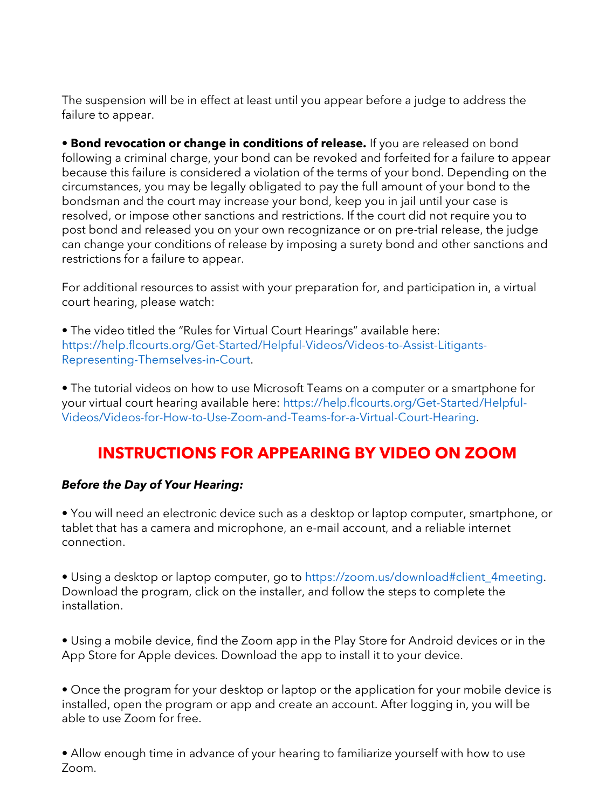The suspension will be in effect at least until you appear before a judge to address the failure to appear.

• **Bond revocation or change in conditions of release.** If you are released on bond following a criminal charge, your bond can be revoked and forfeited for a failure to appear because this failure is considered a violation of the terms of your bond. Depending on the circumstances, you may be legally obligated to pay the full amount of your bond to the bondsman and the court may increase your bond, keep you in jail until your case is resolved, or impose other sanctions and restrictions. If the court did not require you to post bond and released you on your own recognizance or on pre-trial release, the judge can change your conditions of release by imposing a surety bond and other sanctions and restrictions for a failure to appear.

For additional resources to assist with your preparation for, and participation in, a virtual court hearing, please watch:

• The video titled the "Rules for Virtual Court Hearings" available here: https://help.flcourts.org/Get-Started/Helpful-Videos/Videos-to-Assist-Litigants-Representing-Themselves-in-Court.

• The tutorial videos on how to use Microsoft Teams on a computer or a smartphone for your virtual court hearing available here: https://help.flcourts.org/Get-Started/Helpful-Videos/Videos-for-How-to-Use-Zoom-and-Teams-for-a-Virtual-Court-Hearing.

# **INSTRUCTIONS FOR APPEARING BY VIDEO ON ZOOM**

### *Before the Day of Your Hearing:*

• You will need an electronic device such as a desktop or laptop computer, smartphone, or tablet that has a camera and microphone, an e-mail account, and a reliable internet connection.

• Using a desktop or laptop computer, go to https://zoom.us/download#client\_4meeting. Download the program, click on the installer, and follow the steps to complete the installation.

• Using a mobile device, find the Zoom app in the Play Store for Android devices or in the App Store for Apple devices. Download the app to install it to your device.

• Once the program for your desktop or laptop or the application for your mobile device is installed, open the program or app and create an account. After logging in, you will be able to use Zoom for free.

• Allow enough time in advance of your hearing to familiarize yourself with how to use Zoom.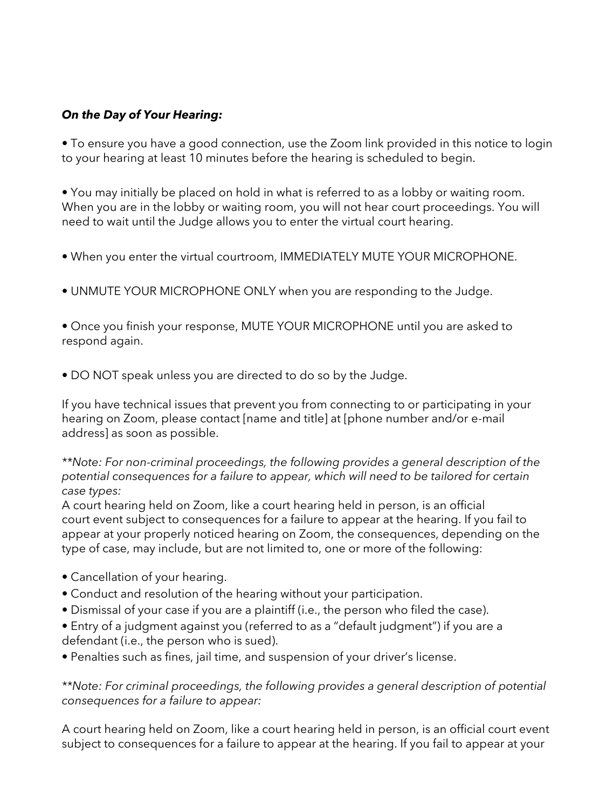### *On the Day of Your Hearing:*

• To ensure you have a good connection, use the Zoom link provided in this notice to login to your hearing at least 10 minutes before the hearing is scheduled to begin.

• You may initially be placed on hold in what is referred to as a lobby or waiting room. When you are in the lobby or waiting room, you will not hear court proceedings. You will need to wait until the Judge allows you to enter the virtual court hearing.

- When you enter the virtual courtroom, IMMEDIATELY MUTE YOUR MICROPHONE.
- UNMUTE YOUR MICROPHONE ONLY when you are responding to the Judge.

• Once you finish your response, MUTE YOUR MICROPHONE until you are asked to respond again.

• DO NOT speak unless you are directed to do so by the Judge.

If you have technical issues that prevent you from connecting to or participating in your hearing on Zoom, please contact [name and title] at [phone number and/or e-mail address] as soon as possible.

*\*\*Note: For non-criminal proceedings, the following provides a general description of the potential consequences for a failure to appear, which will need to be tailored for certain case types:* 

A court hearing held on Zoom, like a court hearing held in person, is an official court event subject to consequences for a failure to appear at the hearing. If you fail to appear at your properly noticed hearing on Zoom, the consequences, depending on the type of case, may include, but are not limited to, one or more of the following:

- Cancellation of your hearing.
- Conduct and resolution of the hearing without your participation.
- Dismissal of your case if you are a plaintiff (i.e., the person who filed the case).
- Entry of a judgment against you (referred to as a "default judgment") if you are a defendant (i.e., the person who is sued).

• Penalties such as fines, jail time, and suspension of your driver's license.

*\*\*Note: For criminal proceedings, the following provides a general description of potential consequences for a failure to appear:* 

A court hearing held on Zoom, like a court hearing held in person, is an official court event subject to consequences for a failure to appear at the hearing. If you fail to appear at your